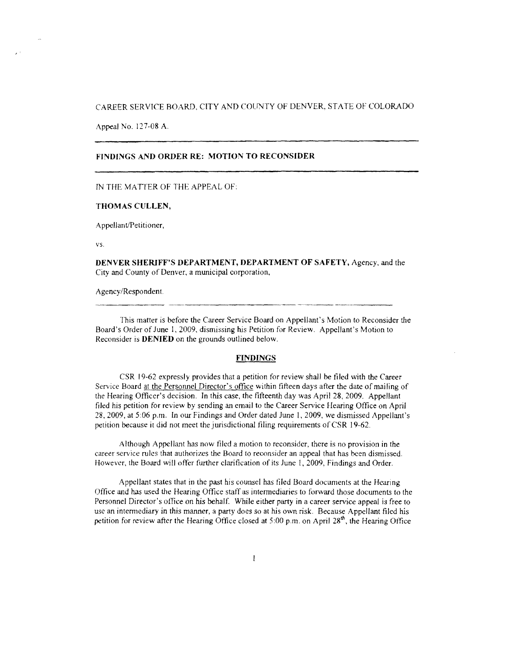## CAREER SERVICE BOARD, CITY AND COUNTY OF DENVER, STATE OF COLORADO

Appeal No. 127-08 A.

### **FINDINGS AND ORDER RE: MOTION TO RECONSIDER**

IN THE MATTER OF THE APPEAL OF:

### **THOMAS CULLEN,**

Appellant/Petitioner,

vs.

**DENVER SHERIFF'S DEPARTMENT, DEPARTMENT OF SAFETY,** Agency, and the City and County of Denver, a municipal corporation,

Agency/Respondent.

This matter is before the Career Service Board on Appellant's Motion to Reconsider the Board's Order of June 1, 2009, dismissing his Petition for Review. Appellant's Motion to Reconsider is **DENIED** on the grounds outlined below.

### **FINDINGS**

CSR 19-62 expressly provides that a petition for review shall be filed with the Career Service Board at the Personnel Director's office within fifteen days after the date of mailing of the Hearing Officer's decision. In this case, the fifteenth day was April 28, 2009. Appellant filed his petition for review by sending an email to the Career Service Hearing Office on April 28, 2009, at 5:06 p.m. In our Findings and Order dated June I, 2009, we dismissed Appellant's petition because it did not meet the jurisdictional filing requirements of CSR 19-62.

Although Appellant has now filed a motion to reconsider, there is no provision in the career service rules that authorizes the Board to reconsider an appeal that has been dismissed. However, the Board will offer further clarification of its June I, 2009, Findings and Order.

Appellant states that in the past his counsel has filed Board documents at the Hearing Office and has used the Hearing Office staff as intennediaries to forward those documents to the Personnel Director's office on his behalf. While either party in a career service appeal is free to use an intermediary in this manner, a party does so at his own risk. Because Appellant filed his petition for review after the Hearing Office closed at 5:00 p.m. on April 28<sup>th</sup>, the Hearing Office